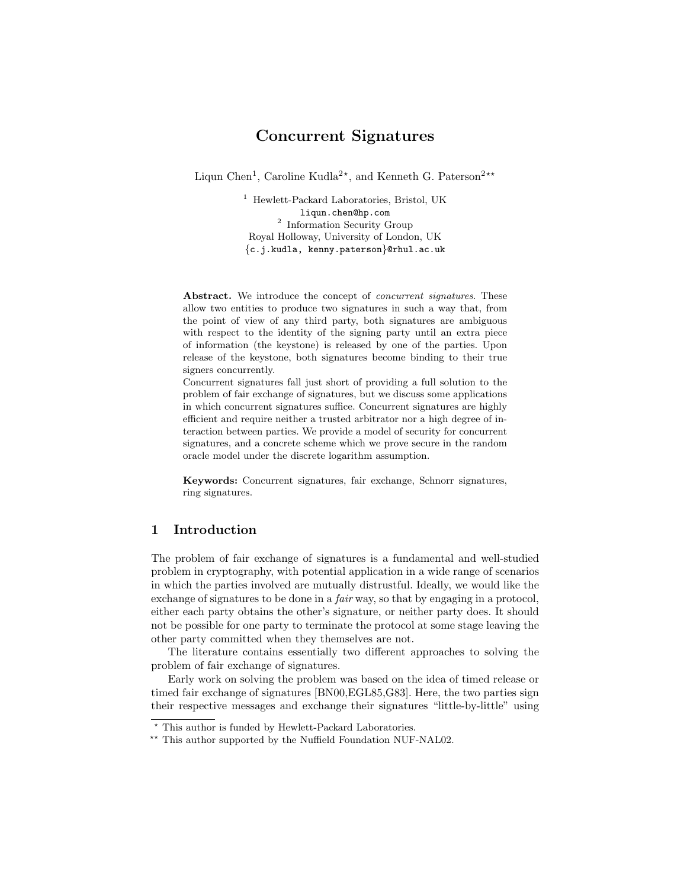# Concurrent Signatures

Liqun Chen<sup>1</sup>, Caroline Kudla<sup>2\*</sup>, and Kenneth G. Paterson<sup>2\*\*</sup>

<sup>1</sup> Hewlett-Packard Laboratories, Bristol, UK liqun.chen@hp.com <sup>2</sup> Information Security Group Royal Holloway, University of London, UK {c.j.kudla, kenny.paterson}@rhul.ac.uk

Abstract. We introduce the concept of *concurrent signatures*. These allow two entities to produce two signatures in such a way that, from the point of view of any third party, both signatures are ambiguous with respect to the identity of the signing party until an extra piece of information (the keystone) is released by one of the parties. Upon release of the keystone, both signatures become binding to their true signers concurrently.

Concurrent signatures fall just short of providing a full solution to the problem of fair exchange of signatures, but we discuss some applications in which concurrent signatures suffice. Concurrent signatures are highly efficient and require neither a trusted arbitrator nor a high degree of interaction between parties. We provide a model of security for concurrent signatures, and a concrete scheme which we prove secure in the random oracle model under the discrete logarithm assumption.

Keywords: Concurrent signatures, fair exchange, Schnorr signatures, ring signatures.

## 1 Introduction

The problem of fair exchange of signatures is a fundamental and well-studied problem in cryptography, with potential application in a wide range of scenarios in which the parties involved are mutually distrustful. Ideally, we would like the exchange of signatures to be done in a *fair* way, so that by engaging in a protocol, either each party obtains the other's signature, or neither party does. It should not be possible for one party to terminate the protocol at some stage leaving the other party committed when they themselves are not.

The literature contains essentially two different approaches to solving the problem of fair exchange of signatures.

Early work on solving the problem was based on the idea of timed release or timed fair exchange of signatures [BN00,EGL85,G83]. Here, the two parties sign their respective messages and exchange their signatures "little-by-little" using

<sup>\*</sup> This author is funded by Hewlett-Packard Laboratories.

<sup>\*\*</sup> This author supported by the Nuffield Foundation NUF-NAL02.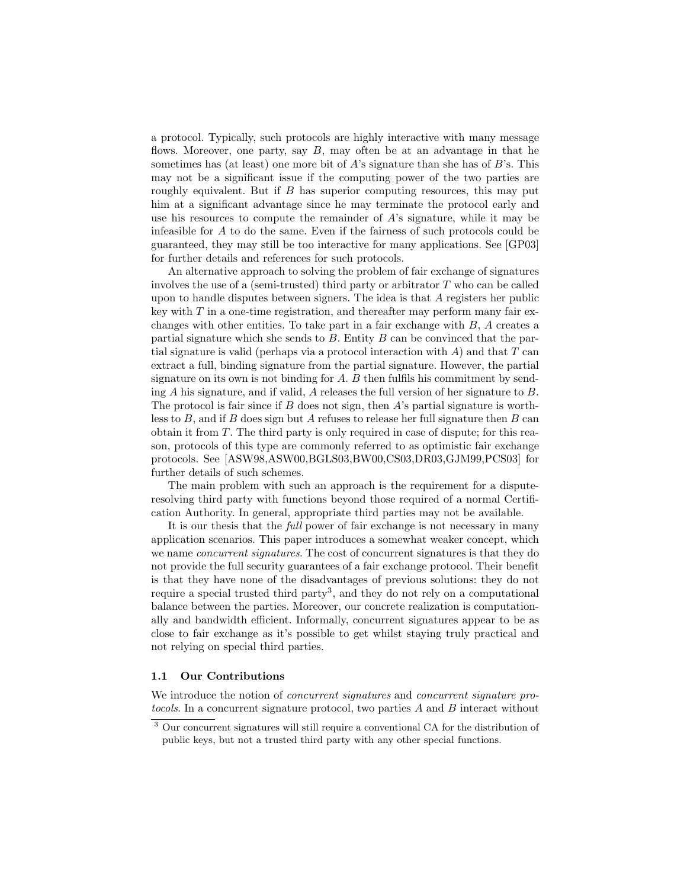a protocol. Typically, such protocols are highly interactive with many message flows. Moreover, one party, say  $B$ , may often be at an advantage in that he sometimes has (at least) one more bit of  $A$ 's signature than she has of  $B$ 's. This may not be a significant issue if the computing power of the two parties are roughly equivalent. But if  $B$  has superior computing resources, this may put him at a significant advantage since he may terminate the protocol early and use his resources to compute the remainder of  $A$ 's signature, while it may be infeasible for A to do the same. Even if the fairness of such protocols could be guaranteed, they may still be too interactive for many applications. See [GP03] for further details and references for such protocols.

An alternative approach to solving the problem of fair exchange of signatures involves the use of a (semi-trusted) third party or arbitrator  $T$  who can be called upon to handle disputes between signers. The idea is that A registers her public key with  $T$  in a one-time registration, and thereafter may perform many fair exchanges with other entities. To take part in a fair exchange with  $B$ ,  $A$  creates a partial signature which she sends to  $B$ . Entity  $B$  can be convinced that the partial signature is valid (perhaps via a protocol interaction with  $A$ ) and that  $T$  can extract a full, binding signature from the partial signature. However, the partial signature on its own is not binding for  $A$ .  $B$  then fulfils his commitment by sending A his signature, and if valid, A releases the full version of her signature to B. The protocol is fair since if  $B$  does not sign, then  $A$ 's partial signature is worthless to  $B$ , and if  $B$  does sign but  $A$  refuses to release her full signature then  $B$  can obtain it from  $T$ . The third party is only required in case of dispute; for this reason, protocols of this type are commonly referred to as optimistic fair exchange protocols. See [ASW98,ASW00,BGLS03,BW00,CS03,DR03,GJM99,PCS03] for further details of such schemes.

The main problem with such an approach is the requirement for a disputeresolving third party with functions beyond those required of a normal Certification Authority. In general, appropriate third parties may not be available.

It is our thesis that the full power of fair exchange is not necessary in many application scenarios. This paper introduces a somewhat weaker concept, which we name *concurrent signatures*. The cost of concurrent signatures is that they do not provide the full security guarantees of a fair exchange protocol. Their benefit is that they have none of the disadvantages of previous solutions: they do not require a special trusted third party<sup>3</sup>, and they do not rely on a computational balance between the parties. Moreover, our concrete realization is computationally and bandwidth efficient. Informally, concurrent signatures appear to be as close to fair exchange as it's possible to get whilst staying truly practical and not relying on special third parties.

#### 1.1 Our Contributions

We introduce the notion of *concurrent signatures* and *concurrent signature pro*tocols. In a concurrent signature protocol, two parties A and B interact without

<sup>3</sup> Our concurrent signatures will still require a conventional CA for the distribution of public keys, but not a trusted third party with any other special functions.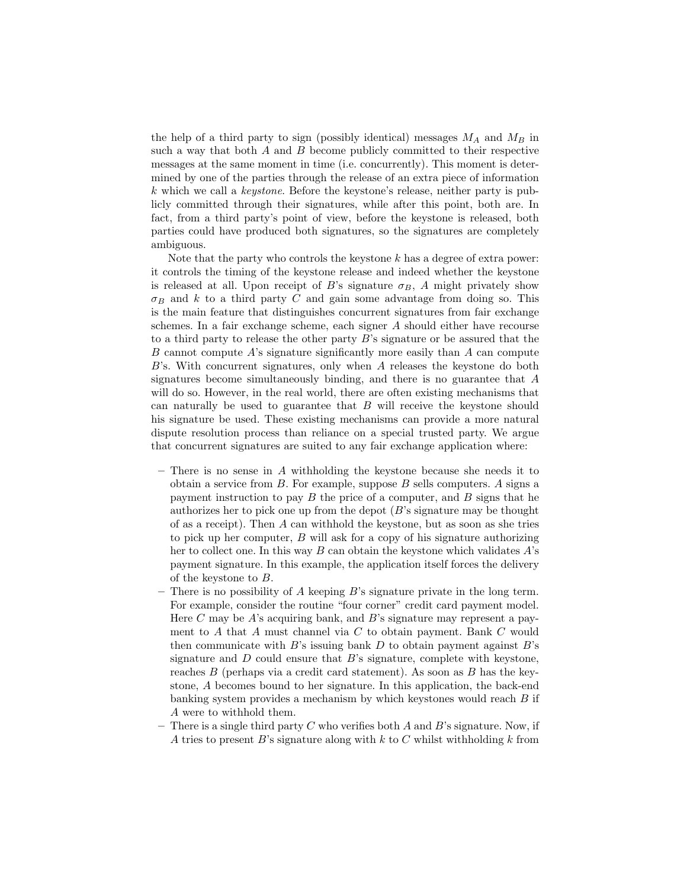the help of a third party to sign (possibly identical) messages  $M_A$  and  $M_B$  in such a way that both  $A$  and  $B$  become publicly committed to their respective messages at the same moment in time (i.e. concurrently). This moment is determined by one of the parties through the release of an extra piece of information  $k$  which we call a *keystone*. Before the keystone's release, neither party is publicly committed through their signatures, while after this point, both are. In fact, from a third party's point of view, before the keystone is released, both parties could have produced both signatures, so the signatures are completely ambiguous.

Note that the party who controls the keystone  $k$  has a degree of extra power: it controls the timing of the keystone release and indeed whether the keystone is released at all. Upon receipt of B's signature  $\sigma_B$ , A might privately show  $\sigma_B$  and k to a third party C and gain some advantage from doing so. This is the main feature that distinguishes concurrent signatures from fair exchange schemes. In a fair exchange scheme, each signer A should either have recourse to a third party to release the other party B's signature or be assured that the  $B$  cannot compute  $A$ 's signature significantly more easily than  $A$  can compute B's. With concurrent signatures, only when A releases the keystone do both signatures become simultaneously binding, and there is no guarantee that A will do so. However, in the real world, there are often existing mechanisms that can naturally be used to guarantee that  $B$  will receive the keystone should his signature be used. These existing mechanisms can provide a more natural dispute resolution process than reliance on a special trusted party. We argue that concurrent signatures are suited to any fair exchange application where:

- $-$  There is no sense in A withholding the keystone because she needs it to obtain a service from  $B$ . For example, suppose  $B$  sells computers. A signs a payment instruction to pay  $B$  the price of a computer, and  $B$  signs that he authorizes her to pick one up from the depot  $(B$ 's signature may be thought of as a receipt). Then  $A$  can withhold the keystone, but as soon as she tries to pick up her computer,  $B$  will ask for a copy of his signature authorizing her to collect one. In this way  $B$  can obtain the keystone which validates  $A$ 's payment signature. In this example, the application itself forces the delivery of the keystone to B.
- There is no possibility of  $A$  keeping  $B$ 's signature private in the long term. For example, consider the routine "four corner" credit card payment model. Here C may be  $A$ 's acquiring bank, and  $B$ 's signature may represent a payment to A that A must channel via C to obtain payment. Bank C would then communicate with  $B$ 's issuing bank  $D$  to obtain payment against  $B$ 's signature and  $D$  could ensure that  $B$ 's signature, complete with keystone, reaches  $B$  (perhaps via a credit card statement). As soon as  $B$  has the keystone, A becomes bound to her signature. In this application, the back-end banking system provides a mechanism by which keystones would reach  $B$  if A were to withhold them.
- There is a single third party C who verifies both A and B's signature. Now, if A tries to present  $B$ 's signature along with k to C whilst withholding k from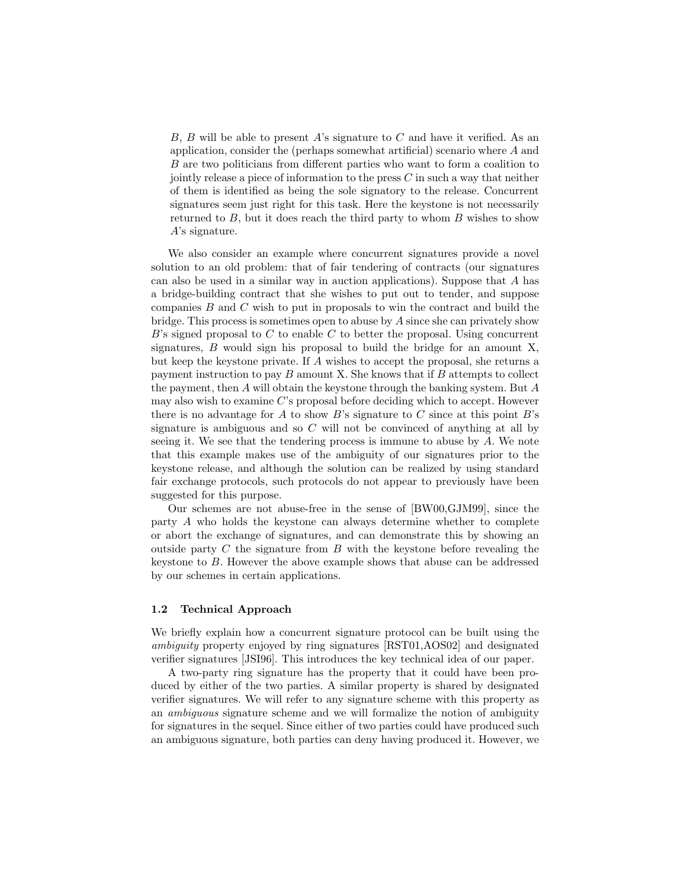$B, B$  will be able to present A's signature to C and have it verified. As an application, consider the (perhaps somewhat artificial) scenario where A and B are two politicians from different parties who want to form a coalition to jointly release a piece of information to the press  $C$  in such a way that neither of them is identified as being the sole signatory to the release. Concurrent signatures seem just right for this task. Here the keystone is not necessarily returned to B, but it does reach the third party to whom B wishes to show A's signature.

We also consider an example where concurrent signatures provide a novel solution to an old problem: that of fair tendering of contracts (our signatures can also be used in a similar way in auction applications). Suppose that  $A$  has a bridge-building contract that she wishes to put out to tender, and suppose companies  $B$  and  $C$  wish to put in proposals to win the contract and build the bridge. This process is sometimes open to abuse by A since she can privately show  $B$ 's signed proposal to C to enable C to better the proposal. Using concurrent signatures,  $B$  would sign his proposal to build the bridge for an amount  $X$ , but keep the keystone private. If A wishes to accept the proposal, she returns a payment instruction to pay  $B$  amount X. She knows that if  $B$  attempts to collect the payment, then A will obtain the keystone through the banking system. But A may also wish to examine  $C$ 's proposal before deciding which to accept. However there is no advantage for A to show B's signature to C since at this point B's signature is ambiguous and so  $C$  will not be convinced of anything at all by seeing it. We see that the tendering process is immune to abuse by A. We note that this example makes use of the ambiguity of our signatures prior to the keystone release, and although the solution can be realized by using standard fair exchange protocols, such protocols do not appear to previously have been suggested for this purpose.

Our schemes are not abuse-free in the sense of [BW00,GJM99], since the party A who holds the keystone can always determine whether to complete or abort the exchange of signatures, and can demonstrate this by showing an outside party  $C$  the signature from  $B$  with the keystone before revealing the keystone to B. However the above example shows that abuse can be addressed by our schemes in certain applications.

#### 1.2 Technical Approach

We briefly explain how a concurrent signature protocol can be built using the ambiguity property enjoyed by ring signatures [RST01,AOS02] and designated verifier signatures [JSI96]. This introduces the key technical idea of our paper.

A two-party ring signature has the property that it could have been produced by either of the two parties. A similar property is shared by designated verifier signatures. We will refer to any signature scheme with this property as an ambiguous signature scheme and we will formalize the notion of ambiguity for signatures in the sequel. Since either of two parties could have produced such an ambiguous signature, both parties can deny having produced it. However, we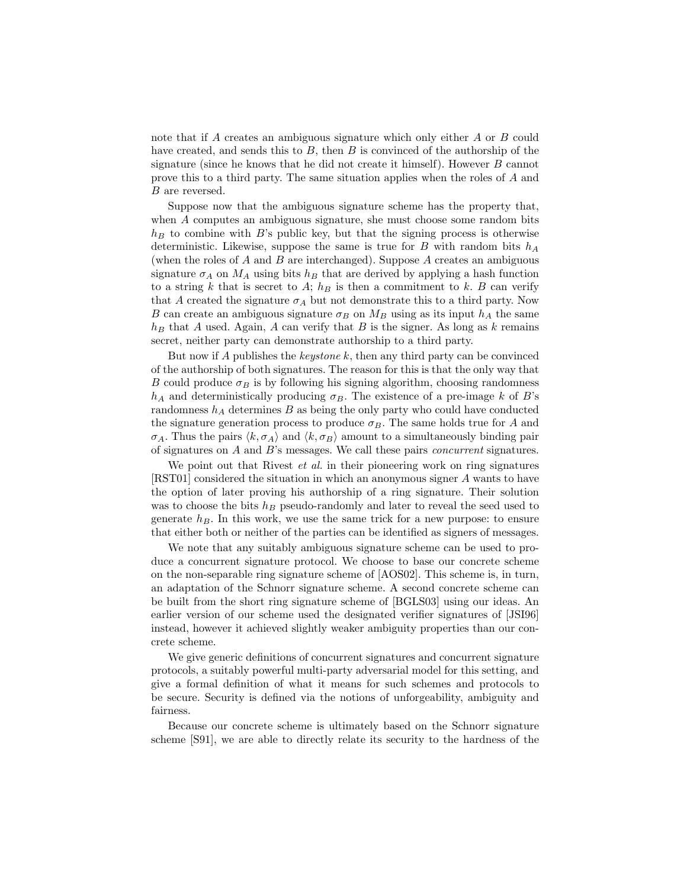note that if A creates an ambiguous signature which only either A or B could have created, and sends this to  $B$ , then  $B$  is convinced of the authorship of the signature (since he knows that he did not create it himself). However  $B$  cannot prove this to a third party. The same situation applies when the roles of A and B are reversed.

Suppose now that the ambiguous signature scheme has the property that, when A computes an ambiguous signature, she must choose some random bits  $h_B$  to combine with B's public key, but that the signing process is otherwise deterministic. Likewise, suppose the same is true for  $B$  with random bits  $h_A$ (when the roles of A and B are interchanged). Suppose A creates an ambiguous signature  $\sigma_A$  on  $M_A$  using bits  $h_B$  that are derived by applying a hash function to a string k that is secret to A;  $h_B$  is then a commitment to k. B can verify that A created the signature  $\sigma_A$  but not demonstrate this to a third party. Now B can create an ambiguous signature  $\sigma_B$  on  $M_B$  using as its input  $h_A$  the same  $h_B$  that A used. Again, A can verify that B is the signer. As long as k remains secret, neither party can demonstrate authorship to a third party.

But now if  $A$  publishes the *keystone*  $k$ , then any third party can be convinced of the authorship of both signatures. The reason for this is that the only way that B could produce  $\sigma_B$  is by following his signing algorithm, choosing randomness  $h_A$  and deterministically producing  $\sigma_B$ . The existence of a pre-image k of B's randomness  $h_A$  determines  $B$  as being the only party who could have conducted the signature generation process to produce  $\sigma_B$ . The same holds true for A and  $\sigma_A$ . Thus the pairs  $\langle k, \sigma_A \rangle$  and  $\langle k, \sigma_B \rangle$  amount to a simultaneously binding pair of signatures on A and B's messages. We call these pairs concurrent signatures.

We point out that Rivest *et al.* in their pioneering work on ring signatures [RST01] considered the situation in which an anonymous signer A wants to have the option of later proving his authorship of a ring signature. Their solution was to choose the bits  $h_B$  pseudo-randomly and later to reveal the seed used to generate  $h_B$ . In this work, we use the same trick for a new purpose: to ensure that either both or neither of the parties can be identified as signers of messages.

We note that any suitably ambiguous signature scheme can be used to produce a concurrent signature protocol. We choose to base our concrete scheme on the non-separable ring signature scheme of [AOS02]. This scheme is, in turn, an adaptation of the Schnorr signature scheme. A second concrete scheme can be built from the short ring signature scheme of [BGLS03] using our ideas. An earlier version of our scheme used the designated verifier signatures of [JSI96] instead, however it achieved slightly weaker ambiguity properties than our concrete scheme.

We give generic definitions of concurrent signatures and concurrent signature protocols, a suitably powerful multi-party adversarial model for this setting, and give a formal definition of what it means for such schemes and protocols to be secure. Security is defined via the notions of unforgeability, ambiguity and fairness.

Because our concrete scheme is ultimately based on the Schnorr signature scheme [S91], we are able to directly relate its security to the hardness of the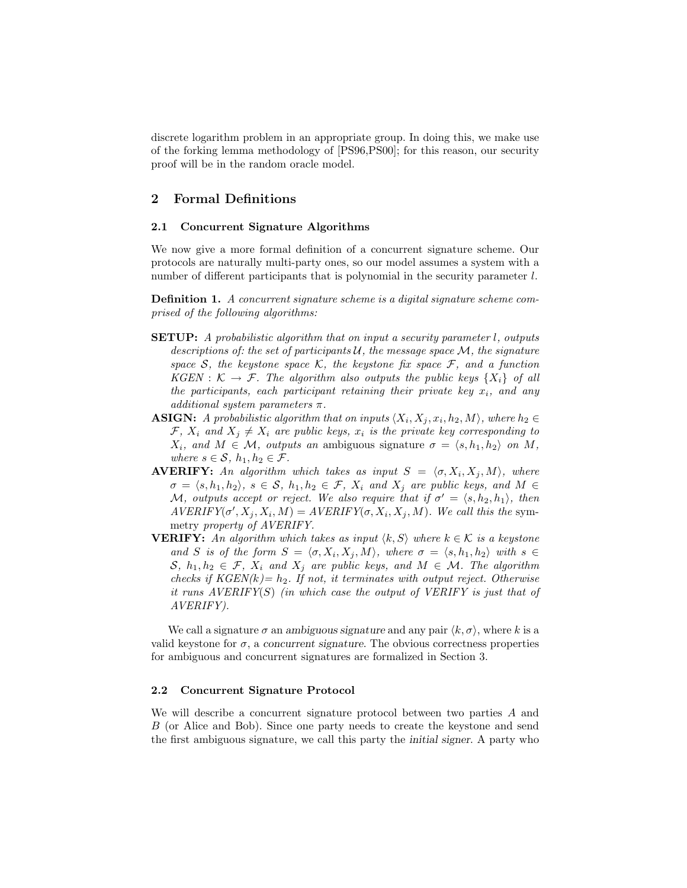discrete logarithm problem in an appropriate group. In doing this, we make use of the forking lemma methodology of [PS96,PS00]; for this reason, our security proof will be in the random oracle model.

## 2 Formal Definitions

#### 2.1 Concurrent Signature Algorithms

We now give a more formal definition of a concurrent signature scheme. Our protocols are naturally multi-party ones, so our model assumes a system with a number of different participants that is polynomial in the security parameter  $l$ .

Definition 1. A concurrent signature scheme is a digital signature scheme comprised of the following algorithms:

- SETUP: A probabilistic algorithm that on input a security parameter l, outputs descriptions of: the set of participants  $U$ , the message space  $M$ , the signature space S, the keystone space K, the keystone fix space  $\mathcal{F}$ , and a function  $KGEN: \mathcal{K} \rightarrow \mathcal{F}$ . The algorithm also outputs the public keys  $\{X_i\}$  of all the participants, each participant retaining their private key  $x_i$ , and any additional system parameters  $\pi$ .
- **ASIGN:** A probabilistic algorithm that on inputs  $\langle X_i, X_j, x_i, h_2, M \rangle$ , where  $h_2 \in$  $\mathcal{F}, X_i$  and  $X_j \neq X_i$  are public keys,  $x_i$  is the private key corresponding to  $X_i$ , and  $M \in \mathcal{M}$ , outputs an ambiguous signature  $\sigma = \langle s, h_1, h_2 \rangle$  on M, where  $s \in \mathcal{S}$ ,  $h_1, h_2 \in \mathcal{F}$ .
- **AVERIFY:** An algorithm which takes as input  $S = \langle \sigma, X_i, X_j, M \rangle$ , where  $\sigma = \langle s, h_1, h_2 \rangle, s \in \mathcal{S}, h_1, h_2 \in \mathcal{F}, X_i$  and  $X_j$  are public keys, and  $M \in$ M, outputs accept or reject. We also require that if  $\sigma' = \langle s, h_2, h_1 \rangle$ , then  $AVERIFY(\sigma', X_j, X_i, M) = AVERIFY(\sigma, X_i, X_j, M)$ . We call this the symmetry property of AVERIFY.
- **VERIFY:** An algorithm which takes as input  $\langle k, S \rangle$  where  $k \in \mathcal{K}$  is a keystone and S is of the form  $S = \langle \sigma, X_i, X_j, M \rangle$ , where  $\sigma = \langle s, h_1, h_2 \rangle$  with  $s \in$ S,  $h_1, h_2 \in \mathcal{F}$ ,  $X_i$  and  $X_j$  are public keys, and  $M \in \mathcal{M}$ . The algorithm checks if  $KGEN(k) = h_2$ . If not, it terminates with output reject. Otherwise it runs  $AVERIFY(S)$  (in which case the output of VERIFY is just that of AVERIFY).

We call a signature  $\sigma$  an ambiguous signature and any pair  $\langle k, \sigma \rangle$ , where k is a valid keystone for  $\sigma$ , a concurrent signature. The obvious correctness properties for ambiguous and concurrent signatures are formalized in Section 3.

#### 2.2 Concurrent Signature Protocol

We will describe a concurrent signature protocol between two parties A and B (or Alice and Bob). Since one party needs to create the keystone and send the first ambiguous signature, we call this party the initial signer. A party who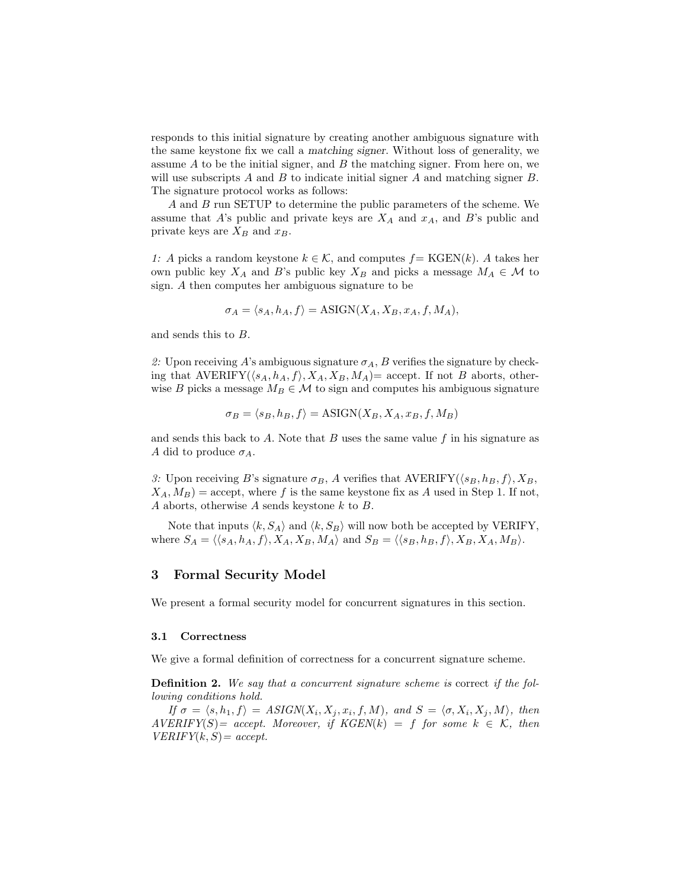responds to this initial signature by creating another ambiguous signature with the same keystone fix we call a matching signer. Without loss of generality, we assume  $A$  to be the initial signer, and  $B$  the matching signer. From here on, we will use subscripts  $A$  and  $B$  to indicate initial signer  $A$  and matching signer  $B$ . The signature protocol works as follows:

A and B run SETUP to determine the public parameters of the scheme. We assume that A's public and private keys are  $X_A$  and  $x_A$ , and B's public and private keys are  $X_B$  and  $x_B$ .

1: A picks a random keystone  $k \in \mathcal{K}$ , and computes  $f = \text{KGEN}(k)$ . A takes her own public key  $X_A$  and B's public key  $X_B$  and picks a message  $M_A \in \mathcal{M}$  to sign. A then computes her ambiguous signature to be

$$
\sigma_A = \langle s_A, h_A, f \rangle = \text{ASIGN}(X_A, X_B, x_A, f, M_A),
$$

and sends this to B.

2: Upon receiving A's ambiguous signature  $\sigma_A$ , B verifies the signature by checking that AVERIFY( $\langle s_A, h_A, f \rangle$ ,  $X_A, X_B, M_A$ )= accept. If not B aborts, otherwise B picks a message  $M_B \in \mathcal{M}$  to sign and computes his ambiguous signature

$$
\sigma_B = \langle s_B, h_B, f \rangle = \text{ASIGN}(X_B, X_A, x_B, f, M_B)
$$

and sends this back to  $A$ . Note that  $B$  uses the same value  $f$  in his signature as A did to produce  $\sigma_A$ .

3: Upon receiving B's signature  $\sigma_B$ , A verifies that AVERIFY( $\langle s_B, h_B, f \rangle$ ,  $X_B$ ,  $X_A, M_B$  = accept, where f is the same keystone fix as A used in Step 1. If not, A aborts, otherwise A sends keystone  $k$  to  $B$ .

Note that inputs  $\langle k, S_A \rangle$  and  $\langle k, S_B \rangle$  will now both be accepted by VERIFY, where  $S_A = \langle \langle s_A, h_A, f \rangle, X_A, X_B, M_A \rangle$  and  $S_B = \langle \langle s_B, h_B, f \rangle, X_B, X_A, M_B \rangle$ .

## 3 Formal Security Model

We present a formal security model for concurrent signatures in this section.

#### 3.1 Correctness

We give a formal definition of correctness for a concurrent signature scheme.

**Definition 2.** We say that a concurrent signature scheme is correct if the following conditions hold.

If  $\sigma = \langle s, h_1, f \rangle = ASIGN(X_i, X_j, x_i, f, M), \text{ and } S = \langle \sigma, X_i, X_j, M \rangle, \text{ then}$  $AVERIFY(S) = accept. Moreover, if KGEN(k) = f for some k \in K, then$  $VERIFY(k, S) = accept.$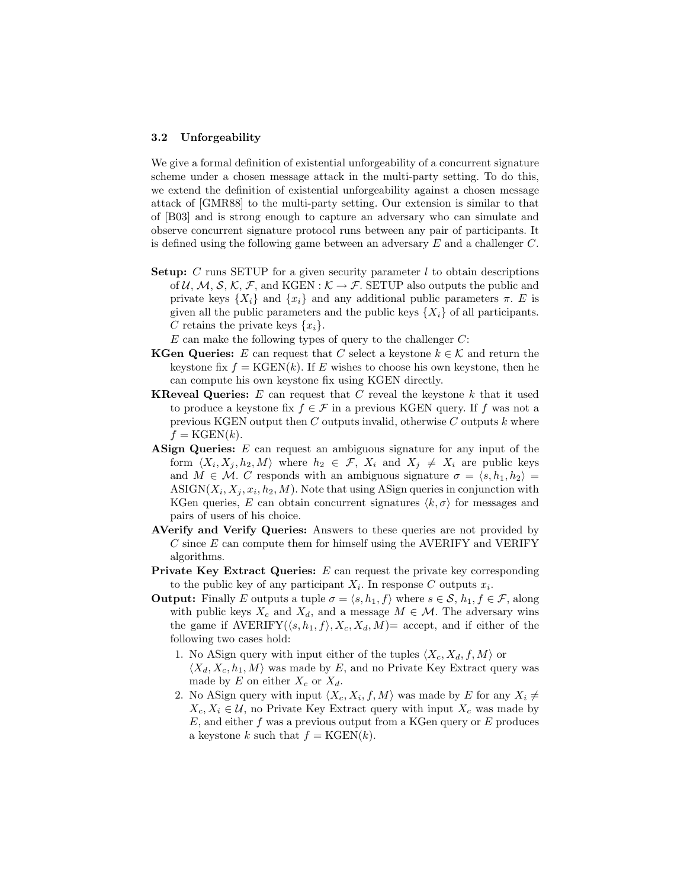#### 3.2 Unforgeability

We give a formal definition of existential unforgeability of a concurrent signature scheme under a chosen message attack in the multi-party setting. To do this, we extend the definition of existential unforgeability against a chosen message attack of [GMR88] to the multi-party setting. Our extension is similar to that of [B03] and is strong enough to capture an adversary who can simulate and observe concurrent signature protocol runs between any pair of participants. It is defined using the following game between an adversary  $E$  and a challenger  $C$ .

**Setup:**  $C$  runs SETUP for a given security parameter  $l$  to obtain descriptions of U, M, S, K, F, and KGEN :  $K \to F$ . SETUP also outputs the public and private keys  $\{X_i\}$  and  $\{x_i\}$  and any additional public parameters  $\pi$ . E is given all the public parameters and the public keys  $\{X_i\}$  of all participants. C retains the private keys  $\{x_i\}$ .

 $E$  can make the following types of query to the challenger  $C$ :

- **KGen Queries:** E can request that C select a keystone  $k \in \mathcal{K}$  and return the keystone fix  $f = \text{KGEN}(k)$ . If E wishes to choose his own keystone, then he can compute his own keystone fix using KGEN directly.
- **KReveal Queries:**  $E$  can request that  $C$  reveal the keystone  $k$  that it used to produce a keystone fix  $f \in \mathcal{F}$  in a previous KGEN query. If f was not a previous KGEN output then  $C$  outputs invalid, otherwise  $C$  outputs  $k$  where  $f = KGEN(k).$
- ASign Queries: E can request an ambiguous signature for any input of the form  $\langle X_i, X_j, h_2, M \rangle$  where  $h_2 \in \mathcal{F}$ ,  $X_i$  and  $X_j \neq X_i$  are public keys and  $M \in \mathcal{M}$ . C responds with an ambiguous signature  $\sigma = \langle s, h_1, h_2 \rangle =$  $\text{ASIGN}(X_i, X_j, x_i, h_2, M)$ . Note that using ASign queries in conjunction with KGen queries, E can obtain concurrent signatures  $\langle k, \sigma \rangle$  for messages and pairs of users of his choice.
- AVerify and Verify Queries: Answers to these queries are not provided by C since E can compute them for himself using the AVERIFY and VERIFY algorithms.
- Private Key Extract Queries: E can request the private key corresponding to the public key of any participant  $X_i$ . In response C outputs  $x_i$ .
- **Output:** Finally E outputs a tuple  $\sigma = \langle s, h_1, f \rangle$  where  $s \in \mathcal{S}, h_1, f \in \mathcal{F}$ , along with public keys  $X_c$  and  $X_d$ , and a message  $M \in \mathcal{M}$ . The adversary wins the game if AVERIFY( $\langle s, h_1, f \rangle$ ,  $X_c$ ,  $X_d$ ,  $M$ )= accept, and if either of the following two cases hold:
	- 1. No ASign query with input either of the tuples  $\langle X_c, X_d, f, M \rangle$  or  $\langle X_d, X_c, h_1, M \rangle$  was made by E, and no Private Key Extract query was made by E on either  $X_c$  or  $X_d$ .
	- 2. No ASign query with input  $\langle X_c, X_i, f, M \rangle$  was made by E for any  $X_i \neq$  $X_c, X_i \in \mathcal{U}$ , no Private Key Extract query with input  $X_c$  was made by  $E$ , and either f was a previous output from a KGen query or  $E$  produces a keystone k such that  $f = KGEN(k)$ .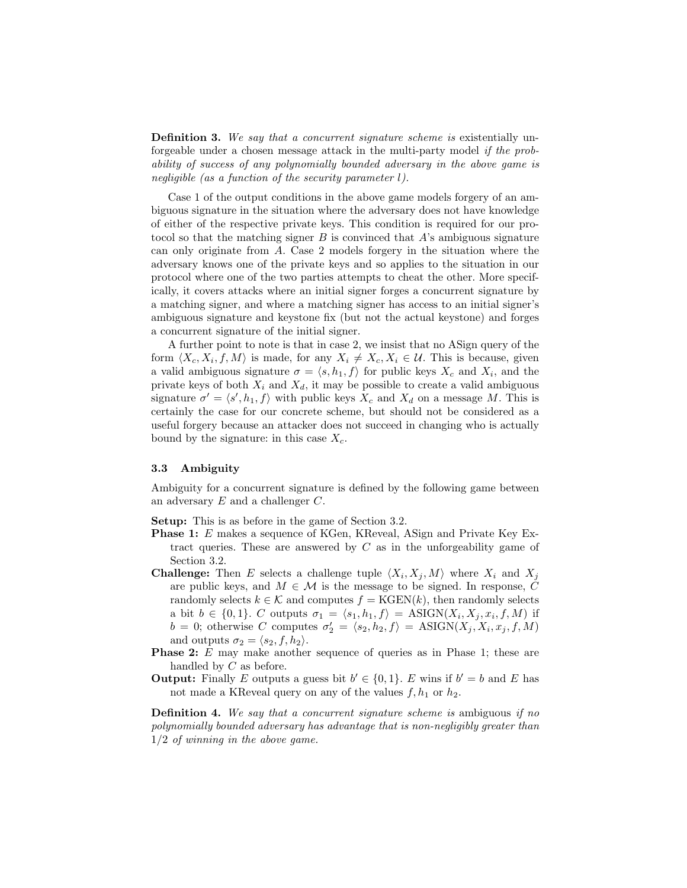**Definition 3.** We say that a concurrent signature scheme is existentially unforgeable under a chosen message attack in the multi-party model if the probability of success of any polynomially bounded adversary in the above game is negligible (as a function of the security parameter l).

Case 1 of the output conditions in the above game models forgery of an ambiguous signature in the situation where the adversary does not have knowledge of either of the respective private keys. This condition is required for our protocol so that the matching signer  $B$  is convinced that  $A$ 's ambiguous signature can only originate from A. Case 2 models forgery in the situation where the adversary knows one of the private keys and so applies to the situation in our protocol where one of the two parties attempts to cheat the other. More specifically, it covers attacks where an initial signer forges a concurrent signature by a matching signer, and where a matching signer has access to an initial signer's ambiguous signature and keystone fix (but not the actual keystone) and forges a concurrent signature of the initial signer.

A further point to note is that in case 2, we insist that no ASign query of the form  $\langle X_c, X_i, f, M \rangle$  is made, for any  $X_i \neq X_c, X_i \in \mathcal{U}$ . This is because, given a valid ambiguous signature  $\sigma = \langle s, h_1, f \rangle$  for public keys  $X_c$  and  $X_i$ , and the private keys of both  $X_i$  and  $X_d$ , it may be possible to create a valid ambiguous signature  $\sigma' = \langle s', h_1, f \rangle$  with public keys  $X_c$  and  $X_d$  on a message M. This is certainly the case for our concrete scheme, but should not be considered as a useful forgery because an attacker does not succeed in changing who is actually bound by the signature: in this case  $X_c$ .

#### 3.3 Ambiguity

Ambiguity for a concurrent signature is defined by the following game between an adversary E and a challenger C.

Setup: This is as before in the game of Section 3.2.

- Phase 1: E makes a sequence of KGen, KReveal, ASign and Private Key Extract queries. These are answered by  $C$  as in the unforgeability game of Section 3.2.
- **Challenge:** Then E selects a challenge tuple  $\langle X_i, X_j, M \rangle$  where  $X_i$  and  $X_j$ are public keys, and  $M \in \mathcal{M}$  is the message to be signed. In response, C randomly selects  $k \in \mathcal{K}$  and computes  $f = \text{KGEN}(k)$ , then randomly selects a bit  $b \in \{0, 1\}$ . C outputs  $\sigma_1 = \langle s_1, h_1, f \rangle = \text{ASIGN}(X_i, X_j, x_i, f, M)$  if  $b = 0$ ; otherwise C computes  $\sigma'_2 = \langle s_2, h_2, f \rangle = \text{ASIGN}(X_j, X_i, x_j, f, M)$ and outputs  $\sigma_2 = \langle s_2, f, h_2 \rangle$ .
- **Phase 2:** E may make another sequence of queries as in Phase 1; these are handled by C as before.
- **Output:** Finally E outputs a guess bit  $b' \in \{0, 1\}$ . E wins if  $b' = b$  and E has not made a KReveal query on any of the values  $f, h_1$  or  $h_2$ .

**Definition 4.** We say that a concurrent signature scheme is ambiguous if no polynomially bounded adversary has advantage that is non-negligibly greater than 1/2 of winning in the above game.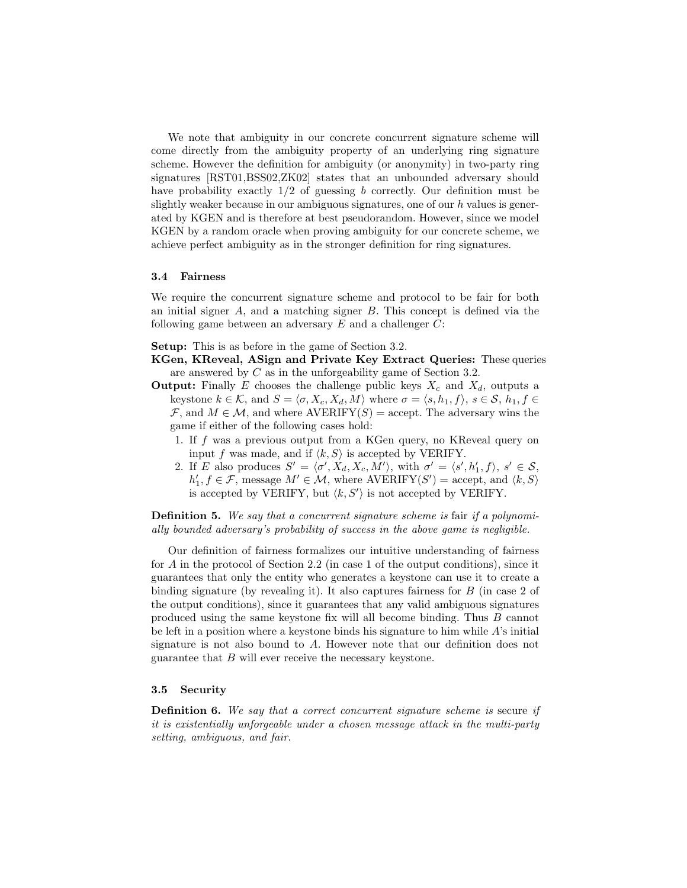We note that ambiguity in our concrete concurrent signature scheme will come directly from the ambiguity property of an underlying ring signature scheme. However the definition for ambiguity (or anonymity) in two-party ring signatures [RST01,BSS02,ZK02] states that an unbounded adversary should have probability exactly  $1/2$  of guessing b correctly. Our definition must be slightly weaker because in our ambiguous signatures, one of our  $h$  values is generated by KGEN and is therefore at best pseudorandom. However, since we model KGEN by a random oracle when proving ambiguity for our concrete scheme, we achieve perfect ambiguity as in the stronger definition for ring signatures.

## 3.4 Fairness

We require the concurrent signature scheme and protocol to be fair for both an initial signer  $A$ , and a matching signer  $B$ . This concept is defined via the following game between an adversary  $E$  and a challenger  $C$ :

Setup: This is as before in the game of Section 3.2.

- KGen, KReveal, ASign and Private Key Extract Queries: These queries are answered by C as in the unforgeability game of Section 3.2.
- **Output:** Finally E chooses the challenge public keys  $X_c$  and  $X_d$ , outputs a keystone  $k \in \mathcal{K}$ , and  $S = \langle \sigma, X_c, X_d, M \rangle$  where  $\sigma = \langle s, h_1, f \rangle$ ,  $s \in \mathcal{S}$ ,  $h_1, f \in$  $\mathcal{F}$ , and  $M \in \mathcal{M}$ , and where AVERIFY(S) = accept. The adversary wins the game if either of the following cases hold:
	- 1. If f was a previous output from a KGen query, no KReveal query on input f was made, and if  $\langle k, S \rangle$  is accepted by VERIFY.
	- 2. If E also produces  $S' = \langle \sigma', X_d, X_c, M' \rangle$ , with  $\sigma' = \langle s', h'_1, f \rangle$ ,  $s' \in S$ ,  $h'_1, f \in \mathcal{F}$ , message  $M' \in \mathcal{M}$ , where AVERIFY(S') = accept, and  $\langle k, S \rangle$ is accepted by VERIFY, but  $\langle k, S' \rangle$  is not accepted by VERIFY.

**Definition 5.** We say that a concurrent signature scheme is fair if a polynomially bounded adversary's probability of success in the above game is negligible.

Our definition of fairness formalizes our intuitive understanding of fairness for A in the protocol of Section 2.2 (in case 1 of the output conditions), since it guarantees that only the entity who generates a keystone can use it to create a binding signature (by revealing it). It also captures fairness for B (in case 2 of the output conditions), since it guarantees that any valid ambiguous signatures produced using the same keystone fix will all become binding. Thus B cannot be left in a position where a keystone binds his signature to him while  $A$ 's initial signature is not also bound to A. However note that our definition does not guarantee that  $B$  will ever receive the necessary keystone.

### 3.5 Security

**Definition 6.** We say that a correct concurrent signature scheme is secure if it is existentially unforgeable under a chosen message attack in the multi-party setting, ambiguous, and fair.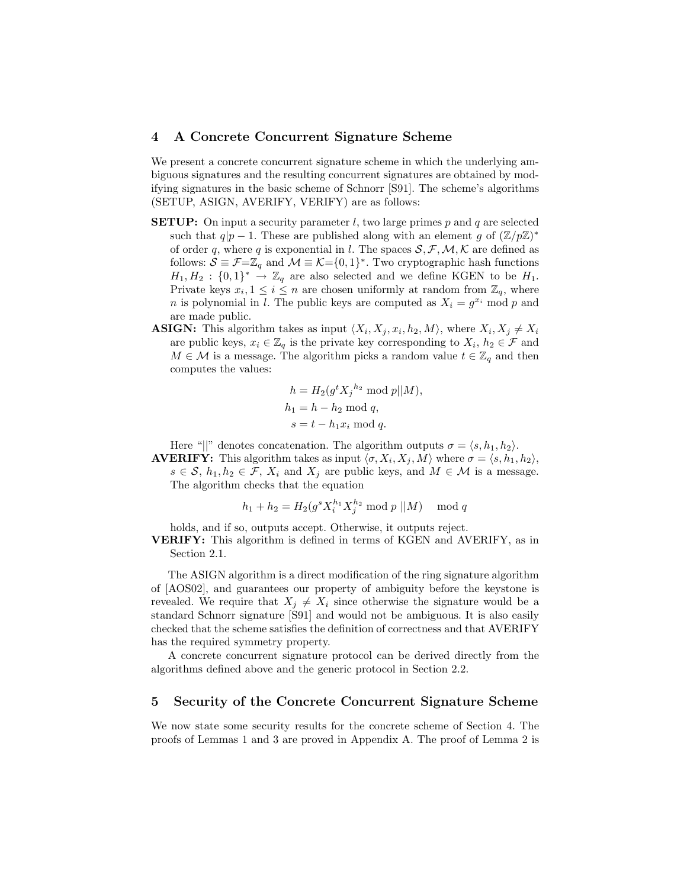### 4 A Concrete Concurrent Signature Scheme

We present a concrete concurrent signature scheme in which the underlying ambiguous signatures and the resulting concurrent signatures are obtained by modifying signatures in the basic scheme of Schnorr [S91]. The scheme's algorithms (SETUP, ASIGN, AVERIFY, VERIFY) are as follows:

- **SETUP:** On input a security parameter  $l$ , two large primes  $p$  and  $q$  are selected such that  $q|p-1$ . These are published along with an element g of  $(\mathbb{Z}/p\mathbb{Z})^*$ of order q, where q is exponential in l. The spaces  $S, \mathcal{F}, \mathcal{M}, \mathcal{K}$  are defined as follows:  $S \equiv \mathcal{F} = \mathbb{Z}_q$  and  $\mathcal{M} \equiv \mathcal{K} = \{0,1\}^*$ . Two cryptographic hash functions  $H_1, H_2: \{0,1\}^* \to \mathbb{Z}_q$  are also selected and we define KGEN to be  $H_1$ . Private keys  $x_i, 1 \leq i \leq n$  are chosen uniformly at random from  $\mathbb{Z}_q$ , where *n* is polynomial in *l*. The public keys are computed as  $X_i = g^{x_i} \text{ mod } p$  and are made public.
- **ASIGN:** This algorithm takes as input  $\langle X_i, X_j, x_i, h_2, M \rangle$ , where  $X_i, X_j \neq X_i$ are public keys,  $x_i \in \mathbb{Z}_q$  is the private key corresponding to  $X_i$ ,  $h_2 \in \mathcal{F}$  and  $M \in \mathcal{M}$  is a message. The algorithm picks a random value  $t \in \mathbb{Z}_q$  and then computes the values:

 $h = H_2(g^t X_j^{h_2} \text{ mod } p || M),$  $h_1 = h - h_2 \mod q,$  $s = t - h_1 x_i \bmod q.$ 

Here "||" denotes concatenation. The algorithm outputs  $\sigma = \langle s, h_1, h_2 \rangle$ . **AVERIFY:** This algorithm takes as input  $\langle \sigma, X_i, X_j, M \rangle$  where  $\sigma = \langle s, h_1, h_2 \rangle$ ,  $s \in \mathcal{S}, h_1, h_2 \in \mathcal{F}, X_i$  and  $X_j$  are public keys, and  $M \in \mathcal{M}$  is a message.

The algorithm checks that the equation

$$
h_1 + h_2 = H_2(g^s X_i^{h_1} X_j^{h_2} \bmod p \, ||M) \mod q
$$

holds, and if so, outputs accept. Otherwise, it outputs reject.

VERIFY: This algorithm is defined in terms of KGEN and AVERIFY, as in Section 2.1.

The ASIGN algorithm is a direct modification of the ring signature algorithm of [AOS02], and guarantees our property of ambiguity before the keystone is revealed. We require that  $X_j \neq X_i$  since otherwise the signature would be a standard Schnorr signature [S91] and would not be ambiguous. It is also easily checked that the scheme satisfies the definition of correctness and that AVERIFY has the required symmetry property.

A concrete concurrent signature protocol can be derived directly from the algorithms defined above and the generic protocol in Section 2.2.

## 5 Security of the Concrete Concurrent Signature Scheme

We now state some security results for the concrete scheme of Section 4. The proofs of Lemmas 1 and 3 are proved in Appendix A. The proof of Lemma 2 is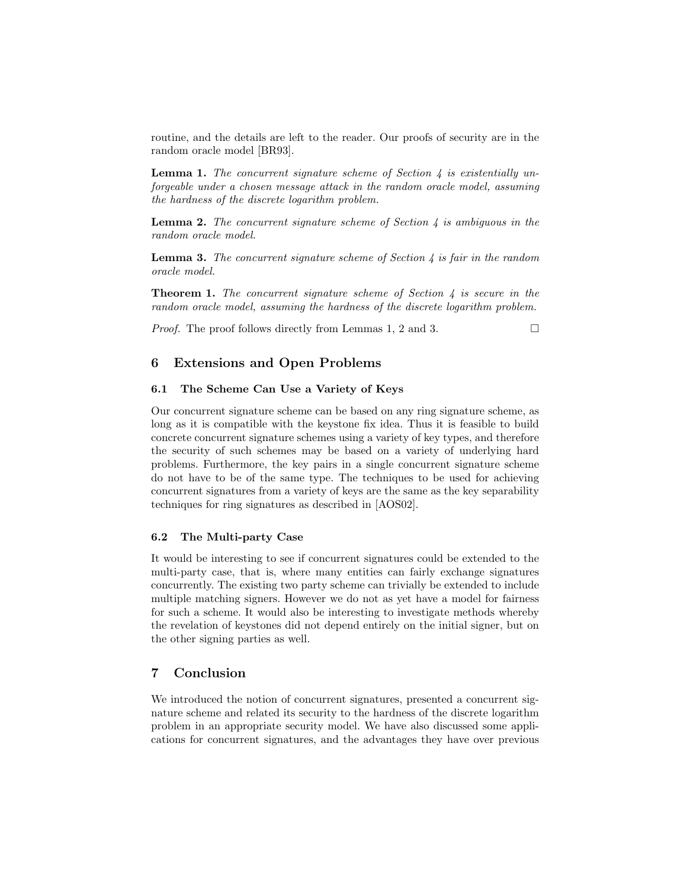routine, and the details are left to the reader. Our proofs of security are in the random oracle model [BR93].

**Lemma 1.** The concurrent signature scheme of Section  $\lambda$  is existentially unforgeable under a chosen message attack in the random oracle model, assuming the hardness of the discrete logarithm problem.

**Lemma 2.** The concurrent signature scheme of Section  $\lambda$  is ambiguous in the random oracle model.

**Lemma 3.** The concurrent signature scheme of Section  $\frac{1}{4}$  is fair in the random oracle model.

**Theorem 1.** The concurrent signature scheme of Section  $4$  is secure in the random oracle model, assuming the hardness of the discrete logarithm problem.

*Proof.* The proof follows directly from Lemmas 1, 2 and 3.  $\Box$ 

## 6 Extensions and Open Problems

#### 6.1 The Scheme Can Use a Variety of Keys

Our concurrent signature scheme can be based on any ring signature scheme, as long as it is compatible with the keystone fix idea. Thus it is feasible to build concrete concurrent signature schemes using a variety of key types, and therefore the security of such schemes may be based on a variety of underlying hard problems. Furthermore, the key pairs in a single concurrent signature scheme do not have to be of the same type. The techniques to be used for achieving concurrent signatures from a variety of keys are the same as the key separability techniques for ring signatures as described in [AOS02].

### 6.2 The Multi-party Case

It would be interesting to see if concurrent signatures could be extended to the multi-party case, that is, where many entities can fairly exchange signatures concurrently. The existing two party scheme can trivially be extended to include multiple matching signers. However we do not as yet have a model for fairness for such a scheme. It would also be interesting to investigate methods whereby the revelation of keystones did not depend entirely on the initial signer, but on the other signing parties as well.

## 7 Conclusion

We introduced the notion of concurrent signatures, presented a concurrent signature scheme and related its security to the hardness of the discrete logarithm problem in an appropriate security model. We have also discussed some applications for concurrent signatures, and the advantages they have over previous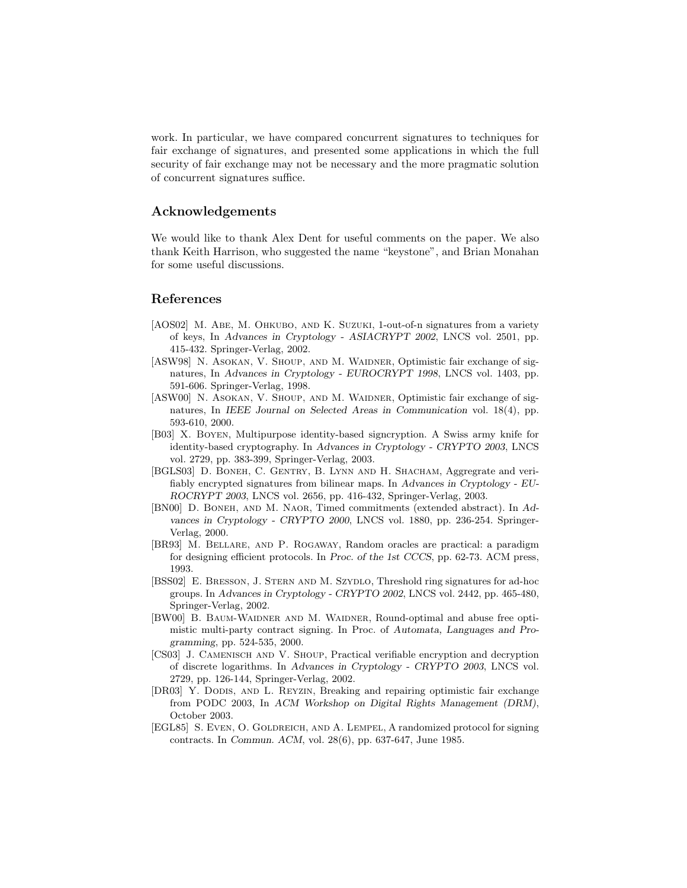work. In particular, we have compared concurrent signatures to techniques for fair exchange of signatures, and presented some applications in which the full security of fair exchange may not be necessary and the more pragmatic solution of concurrent signatures suffice.

### Acknowledgements

We would like to thank Alex Dent for useful comments on the paper. We also thank Keith Harrison, who suggested the name "keystone", and Brian Monahan for some useful discussions.

### References

- [AOS02] M. ABE, M. OHKUBO, AND K. SUZUKI, 1-out-of-n signatures from a variety of keys, In Advances in Cryptology - ASIACRYPT 2002, LNCS vol. 2501, pp. 415-432. Springer-Verlag, 2002.
- [ASW98] N. ASOKAN, V. SHOUP, AND M. WAIDNER, Optimistic fair exchange of signatures, In Advances in Cryptology - EUROCRYPT 1998, LNCS vol. 1403, pp. 591-606. Springer-Verlag, 1998.
- [ASW00] N. ASOKAN, V. SHOUP, AND M. WAIDNER, Optimistic fair exchange of signatures, In IEEE Journal on Selected Areas in Communication vol. 18(4), pp. 593-610, 2000.
- [B03] X. Boyen, Multipurpose identity-based signcryption. A Swiss army knife for identity-based cryptography. In Advances in Cryptology - CRYPTO 2003, LNCS vol. 2729, pp. 383-399, Springer-Verlag, 2003.
- [BGLS03] D. Boneh, C. Gentry, B. Lynn and H. Shacham, Aggregrate and verifiably encrypted signatures from bilinear maps. In Advances in Cryptology - EU-ROCRYPT 2003, LNCS vol. 2656, pp. 416-432, Springer-Verlag, 2003.
- [BN00] D. Boneh, and M. Naor, Timed commitments (extended abstract). In Advances in Cryptology - CRYPTO 2000, LNCS vol. 1880, pp. 236-254. Springer-Verlag, 2000.
- [BR93] M. Bellare, and P. Rogaway, Random oracles are practical: a paradigm for designing efficient protocols. In Proc. of the 1st CCCS, pp. 62-73. ACM press, 1993.
- [BSS02] E. Bresson, J. Stern and M. Szydlo, Threshold ring signatures for ad-hoc groups. In Advances in Cryptology - CRYPTO 2002, LNCS vol. 2442, pp. 465-480, Springer-Verlag, 2002.
- [BW00] B. BAUM-WAIDNER AND M. WAIDNER, Round-optimal and abuse free optimistic multi-party contract signing. In Proc. of Automata, Languages and Programming, pp. 524-535, 2000.
- [CS03] J. Camenisch and V. Shoup, Practical verifiable encryption and decryption of discrete logarithms. In Advances in Cryptology - CRYPTO 2003, LNCS vol. 2729, pp. 126-144, Springer-Verlag, 2002.
- [DR03] Y. Dodis, and L. Reyzin, Breaking and repairing optimistic fair exchange from PODC 2003, In ACM Workshop on Digital Rights Management (DRM), October 2003.
- [EGL85] S. EVEN, O. GOLDREICH, AND A. LEMPEL, A randomized protocol for signing contracts. In Commun. ACM, vol. 28(6), pp. 637-647, June 1985.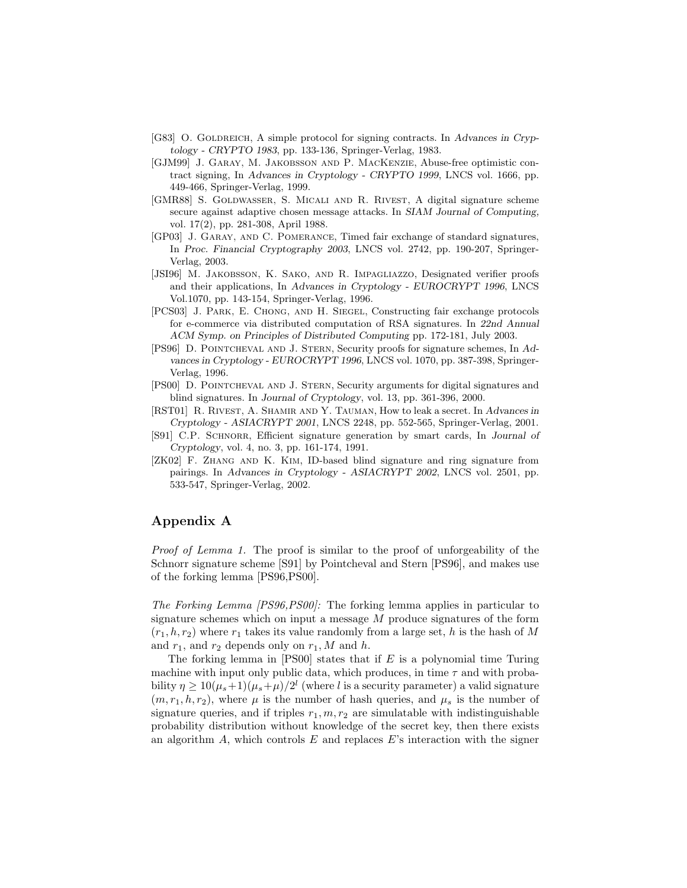- [G83] O. GOLDREICH, A simple protocol for signing contracts. In Advances in Cryptology - CRYPTO 1983, pp. 133-136, Springer-Verlag, 1983.
- [GJM99] J. Garay, M. Jakobsson and P. MacKenzie, Abuse-free optimistic contract signing, In Advances in Cryptology - CRYPTO 1999, LNCS vol. 1666, pp. 449-466, Springer-Verlag, 1999.
- [GMR88] S. Goldwasser, S. Micali and R. Rivest, A digital signature scheme secure against adaptive chosen message attacks. In SIAM Journal of Computing, vol. 17(2), pp. 281-308, April 1988.
- [GP03] J. Garay, and C. Pomerance, Timed fair exchange of standard signatures, In Proc. Financial Cryptography 2003, LNCS vol. 2742, pp. 190-207, Springer-Verlag, 2003.
- [JSI96] M. Jakobsson, K. Sako, and R. Impagliazzo, Designated verifier proofs and their applications, In Advances in Cryptology - EUROCRYPT 1996, LNCS Vol.1070, pp. 143-154, Springer-Verlag, 1996.
- [PCS03] J. Park, E. Chong, and H. Siegel, Constructing fair exchange protocols for e-commerce via distributed computation of RSA signatures. In 22nd Annual ACM Symp. on Principles of Distributed Computing pp. 172-181, July 2003.
- [PS96] D. Pointcheval and J. Stern, Security proofs for signature schemes, In Advances in Cryptology - EUROCRYPT 1996, LNCS vol. 1070, pp. 387-398, Springer-Verlag, 1996.
- [PS00] D. Pointcheval and J. Stern, Security arguments for digital signatures and blind signatures. In Journal of Cryptology, vol. 13, pp. 361-396, 2000.
- [RST01] R. Rivest, A. Shamir and Y. Tauman, How to leak a secret. In Advances in Cryptology - ASIACRYPT 2001, LNCS 2248, pp. 552-565, Springer-Verlag, 2001.
- [S91] C.P. SCHNORR, Efficient signature generation by smart cards, In Journal of Cryptology, vol. 4, no. 3, pp. 161-174, 1991.
- [ZK02] F. Zhang and K. Kim, ID-based blind signature and ring signature from pairings. In Advances in Cryptology - ASIACRYPT 2002, LNCS vol. 2501, pp. 533-547, Springer-Verlag, 2002.

## Appendix A

Proof of Lemma 1. The proof is similar to the proof of unforgeability of the Schnorr signature scheme [S91] by Pointcheval and Stern [PS96], and makes use of the forking lemma [PS96,PS00].

The Forking Lemma [PS96,PS00]: The forking lemma applies in particular to signature schemes which on input a message  $M$  produce signatures of the form  $(r_1, h, r_2)$  where  $r_1$  takes its value randomly from a large set, h is the hash of M and  $r_1$ , and  $r_2$  depends only on  $r_1$ , M and h.

The forking lemma in  $[PS00]$  states that if E is a polynomial time Turing machine with input only public data, which produces, in time  $\tau$  and with probability  $\eta \geq 10(\mu_s+1)(\mu_s+\mu)/2^l$  (where l is a security parameter) a valid signature  $(m, r_1, h, r_2)$ , where  $\mu$  is the number of hash queries, and  $\mu_s$  is the number of signature queries, and if triples  $r_1, m, r_2$  are simulatable with indistinguishable probability distribution without knowledge of the secret key, then there exists an algorithm  $A$ , which controls  $E$  and replaces  $E$ 's interaction with the signer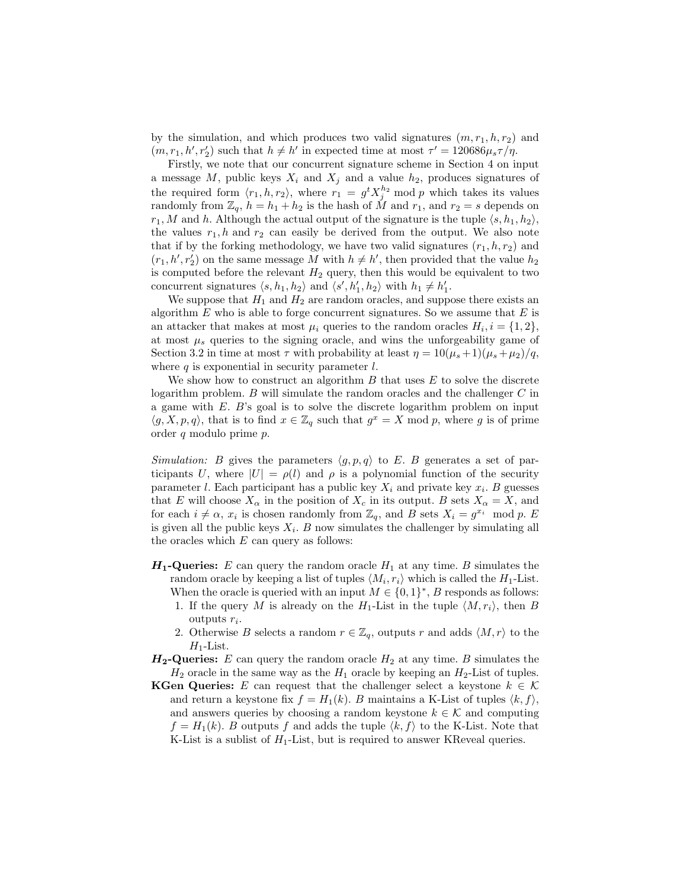by the simulation, and which produces two valid signatures  $(m, r_1, h, r_2)$  and  $(m, r_1, h', r'_2)$  such that  $h \neq h'$  in expected time at most  $\tau' = 120686\mu_s \tau / \eta$ .

Firstly, we note that our concurrent signature scheme in Section 4 on input a message  $M$ , public keys  $X_i$  and  $X_j$  and a value  $h_2$ , produces signatures of the required form  $\langle r_1, h, r_2 \rangle$ , where  $r_1 = g^t X_j^{h_2} \text{ mod } p$  which takes its values randomly from  $\mathbb{Z}_q$ ,  $h = h_1 + h_2$  is the hash of  $\tilde{M}$  and  $r_1$ , and  $r_2 = s$  depends on  $r_1, M$  and h. Although the actual output of the signature is the tuple  $\langle s, h_1, h_2 \rangle$ , the values  $r_1$ , h and  $r_2$  can easily be derived from the output. We also note that if by the forking methodology, we have two valid signatures  $(r_1, h, r_2)$  and  $(r_1, h', r'_2)$  on the same message M with  $h \neq h'$ , then provided that the value  $h_2$ is computed before the relevant  $H_2$  query, then this would be equivalent to two concurrent signatures  $\langle s, h_1, h_2 \rangle$  and  $\langle s', h'_1, h_2 \rangle$  with  $h_1 \neq h'_1$ .

We suppose that  $H_1$  and  $H_2$  are random oracles, and suppose there exists an algorithm  $E$  who is able to forge concurrent signatures. So we assume that  $E$  is an attacker that makes at most  $\mu_i$  queries to the random oracles  $H_i$ ,  $i = \{1, 2\}$ , at most  $\mu_s$  queries to the signing oracle, and wins the unforgeability game of Section 3.2 in time at most  $\tau$  with probability at least  $\eta = 10(\mu_s + 1)(\mu_s + \mu_2)/q$ , where  $q$  is exponential in security parameter l.

We show how to construct an algorithm  $B$  that uses  $E$  to solve the discrete logarithm problem. B will simulate the random oracles and the challenger C in a game with  $E$ . B's goal is to solve the discrete logarithm problem on input  $\langle g, X, p, q \rangle$ , that is to find  $x \in \mathbb{Z}_q$  such that  $g^x = X \mod p$ , where g is of prime order q modulo prime p.

Simulation: B gives the parameters  $\langle g, p, q \rangle$  to E. B generates a set of participants U, where  $|U| = \rho(l)$  and  $\rho$  is a polynomial function of the security parameter l. Each participant has a public key  $X_i$  and private key  $x_i$ . B guesses that E will choose  $X_{\alpha}$  in the position of  $X_c$  in its output. B sets  $X_{\alpha} = X$ , and for each  $i \neq \alpha$ ,  $x_i$  is chosen randomly from  $\mathbb{Z}_q$ , and B sets  $X_i = g^{x_i} \mod p$ . E is given all the public keys  $X_i$ . B now simulates the challenger by simulating all the oracles which  $E$  can query as follows:

- $H_1$ -Queries: E can query the random oracle  $H_1$  at any time. B simulates the random oracle by keeping a list of tuples  $\langle M_i, r_i \rangle$  which is called the  $H_1$ -List. When the oracle is queried with an input  $M \in \{0,1\}^*$ , B responds as follows:
	- 1. If the query M is already on the H<sub>1</sub>-List in the tuple  $\langle M, r_i \rangle$ , then B outputs  $r_i$ .
	- 2. Otherwise B selects a random  $r \in \mathbb{Z}_q$ , outputs r and adds  $\langle M, r \rangle$  to the  $H_1$ -List.
- $H_2$ -Queries: E can query the random oracle  $H_2$  at any time. B simulates the  $H_2$  oracle in the same way as the  $H_1$  oracle by keeping an  $H_2$ -List of tuples.
- **KGen Queries:** E can request that the challenger select a keystone  $k \in \mathcal{K}$ and return a keystone fix  $f = H_1(k)$ . B maintains a K-List of tuples  $\langle k, f \rangle$ , and answers queries by choosing a random keystone  $k \in \mathcal{K}$  and computing  $f = H_1(k)$ . B outputs f and adds the tuple  $\langle k, f \rangle$  to the K-List. Note that K-List is a sublist of  $H_1$ -List, but is required to answer KReveal queries.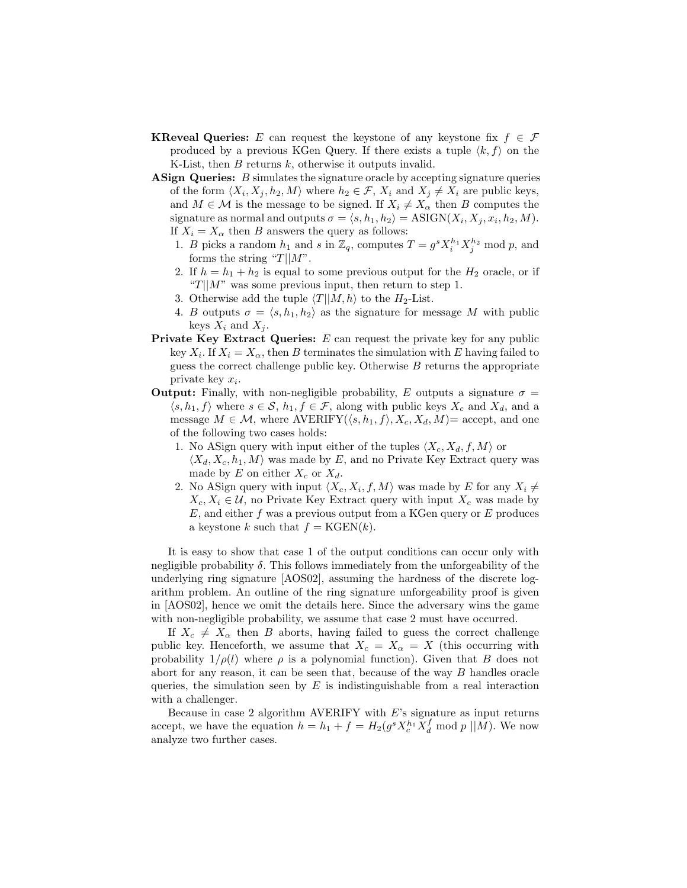- **KReveal Queries:** E can request the keystone of any keystone fix  $f \in \mathcal{F}$ produced by a previous KGen Query. If there exists a tuple  $\langle k, f \rangle$  on the K-List, then  $B$  returns  $k$ , otherwise it outputs invalid.
- ASign Queries: B simulates the signature oracle by accepting signature queries of the form  $\langle X_i, X_j, h_2, M \rangle$  where  $h_2 \in \mathcal{F}$ ,  $X_i$  and  $X_j \neq X_i$  are public keys, and  $M \in \mathcal{M}$  is the message to be signed. If  $X_i \neq X_\alpha$  then B computes the signature as normal and outputs  $\sigma = \langle s, h_1, h_2 \rangle = \text{ASIGN}(X_i, X_j, x_i, h_2, M)$ . If  $X_i = X_\alpha$  then B answers the query as follows:
	- 1. B picks a random  $h_1$  and s in  $\mathbb{Z}_q$ , computes  $T = g^s X_i^{h_1} X_j^{h_2} \text{ mod } p$ , and forms the string "T|| $M$ ".
	- 2. If  $h = h_1 + h_2$  is equal to some previous output for the  $H_2$  oracle, or if " $T||M"$ " was some previous input, then return to step 1.
	- 3. Otherwise add the tuple  $\langle T||M, h \rangle$  to the  $H_2$ -List.
	- 4. B outputs  $\sigma = \langle s, h_1, h_2 \rangle$  as the signature for message M with public keys  $X_i$  and  $X_j$ .
- Private Key Extract Queries: E can request the private key for any public key  $X_i$ . If  $X_i = X_\alpha$ , then B terminates the simulation with E having failed to guess the correct challenge public key. Otherwise  $B$  returns the appropriate private key  $x_i$ .
- **Output:** Finally, with non-negligible probability, E outputs a signature  $\sigma$  =  $\langle s, h_1, f \rangle$  where  $s \in \mathcal{S}, h_1, f \in \mathcal{F}$ , along with public keys  $X_c$  and  $X_d$ , and a message  $M \in \mathcal{M}$ , where AVERIFY $(\langle s, h_1, f \rangle, X_c, X_d, M)$  accept, and one of the following two cases holds:
	- 1. No ASign query with input either of the tuples  $\langle X_c, X_d, f, M \rangle$  or  $\langle X_d, X_c, h_1, M \rangle$  was made by E, and no Private Key Extract query was made by E on either  $X_c$  or  $X_d$ .
	- 2. No ASign query with input  $\langle X_c, X_i, f, M \rangle$  was made by E for any  $X_i \neq$  $X_c, X_i \in \mathcal{U}$ , no Private Key Extract query with input  $X_c$  was made by  $E$ , and either f was a previous output from a KGen query or  $E$  produces a keystone k such that  $f = KGEN(k)$ .

It is easy to show that case 1 of the output conditions can occur only with negligible probability  $\delta$ . This follows immediately from the unforgeability of the underlying ring signature [AOS02], assuming the hardness of the discrete logarithm problem. An outline of the ring signature unforgeability proof is given in [AOS02], hence we omit the details here. Since the adversary wins the game with non-negligible probability, we assume that case 2 must have occurred.

If  $X_c \neq X_\alpha$  then B aborts, having failed to guess the correct challenge public key. Henceforth, we assume that  $X_c = X_\alpha = X$  (this occurring with probability  $1/\rho(l)$  where  $\rho$  is a polynomial function). Given that B does not abort for any reason, it can be seen that, because of the way B handles oracle queries, the simulation seen by  $E$  is indistinguishable from a real interaction with a challenger.

Because in case 2 algorithm AVERIFY with  $E$ 's signature as input returns accept, we have the equation  $h = h_1 + f = H_2(g^s X_c^{h_1} \tilde{X}_d^f \text{ mod } p \mid |M)$ . We now analyze two further cases.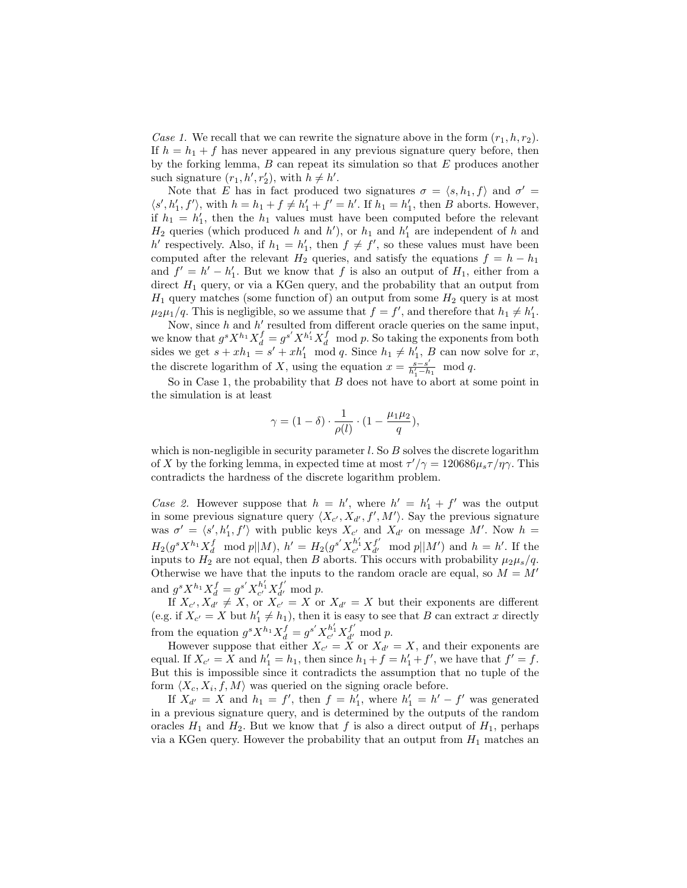Case 1. We recall that we can rewrite the signature above in the form  $(r_1, h, r_2)$ . If  $h = h_1 + f$  has never appeared in any previous signature query before, then by the forking lemma,  $B$  can repeat its simulation so that  $E$  produces another such signature  $(r_1, h', r'_2)$ , with  $h \neq h'$ .

Note that E has in fact produced two signatures  $\sigma = \langle s, h_1, f \rangle$  and  $\sigma' =$  $\langle s', h'_1, f' \rangle$ , with  $h = h_1 + f \neq h'_1 + f' = h'$ . If  $h_1 = h'_1$ , then B aborts. However, if  $h_1 = h'_1$ , then the  $h_1$  values must have been computed before the relevant  $H_2$  queries (which produced h and h'), or  $h_1$  and  $h'_1$  are independent of h and h' respectively. Also, if  $h_1 = h'_1$ , then  $f \neq f'$ , so these values must have been computed after the relevant  $H_2$  queries, and satisfy the equations  $f = h - h_1$ and  $f' = h' - h'_1$ . But we know that f is also an output of  $H_1$ , either from a direct  $H_1$  query, or via a KGen query, and the probability that an output from  $H_1$  query matches (some function of) an output from some  $H_2$  query is at most  $\mu_2\mu_1/q$ . This is negligible, so we assume that  $f = f'$ , and therefore that  $h_1 \neq h'_1$ .

Now, since  $h$  and  $h'$  resulted from different oracle queries on the same input, we know that  $g^s X^{h_1} X_d^f = g^{s'} X^{h'_1} X_d^f \mod p$ . So taking the exponents from both sides we get  $s + xh_1 = s' + xh'_1 \mod q$ . Since  $h_1 \neq h'_1$ , B can now solve for x, the discrete logarithm of X, using the equation  $x = \frac{s-s'}{b'-b}$  $\frac{s-s'}{h'_1-h_1} \mod q.$ 

So in Case 1, the probability that  $B$  does not have to abort at some point in the simulation is at least

$$
\gamma = (1 - \delta) \cdot \frac{1}{\rho(l)} \cdot (1 - \frac{\mu_1 \mu_2}{q}),
$$

which is non-negligible in security parameter  $l$ . So  $B$  solves the discrete logarithm of X by the forking lemma, in expected time at most  $\tau'/\gamma = 120686\mu_s \tau/\eta \gamma$ . This contradicts the hardness of the discrete logarithm problem.

Case 2. However suppose that  $h = h'$ , where  $h' = h'_1 + f'$  was the output in some previous signature query  $\langle X_{c'}, X_{d'}, f', M' \rangle$ . Say the previous signature was  $\sigma' = \langle s', h'_1, f' \rangle$  with public keys  $X_{c'}$  and  $X_{d'}$  on message M'. Now  $h =$  $H_2(g^sX^{h_1}X_d^f \mod p||M)$ ,  $h' = H_2(g^{s'}X_{c'}^{h'_1}X_{d'}^{f'} \mod p||M')$  and  $h = h'$ . If the inputs to  $H_2$  are not equal, then B aborts. This occurs with probability  $\mu_2\mu_s/q$ . Otherwise we have that the inputs to the random oracle are equal, so  $M = M'$ and  $g^s X^{h_1} X_d^f = g^{s'} X_{c'}^{h'_1} X_{d'}^{f'}$  mod p.

If  $X_{c'}$ ,  $X_{d'} \neq X$ , or  $X_{c'} = X$  or  $X_{d'} = X$  but their exponents are different (e.g. if  $X_{c'} = X$  but  $h'_1 \neq h_1$ ), then it is easy to see that B can extract x directly from the equation  $g^s X^{h_1} X_d^f = g^{s'} X_{c'}^{h'_1} X_{d'}^{f'}$  mod p.

However suppose that either  $X_{c'} = X$  or  $X_{d'} = X$ , and their exponents are equal. If  $X_{c'} = X$  and  $h'_1 = h_1$ , then since  $h_1 + f = h'_1 + f'$ , we have that  $f' = f$ . But this is impossible since it contradicts the assumption that no tuple of the form  $\langle X_c, X_i, f, M \rangle$  was queried on the signing oracle before.

If  $X_{d'} = X$  and  $h_1 = f'$ , then  $f = h'_1$ , where  $h'_1 = h' - f'$  was generated in a previous signature query, and is determined by the outputs of the random oracles  $H_1$  and  $H_2$ . But we know that f is also a direct output of  $H_1$ , perhaps via a KGen query. However the probability that an output from  $H_1$  matches an